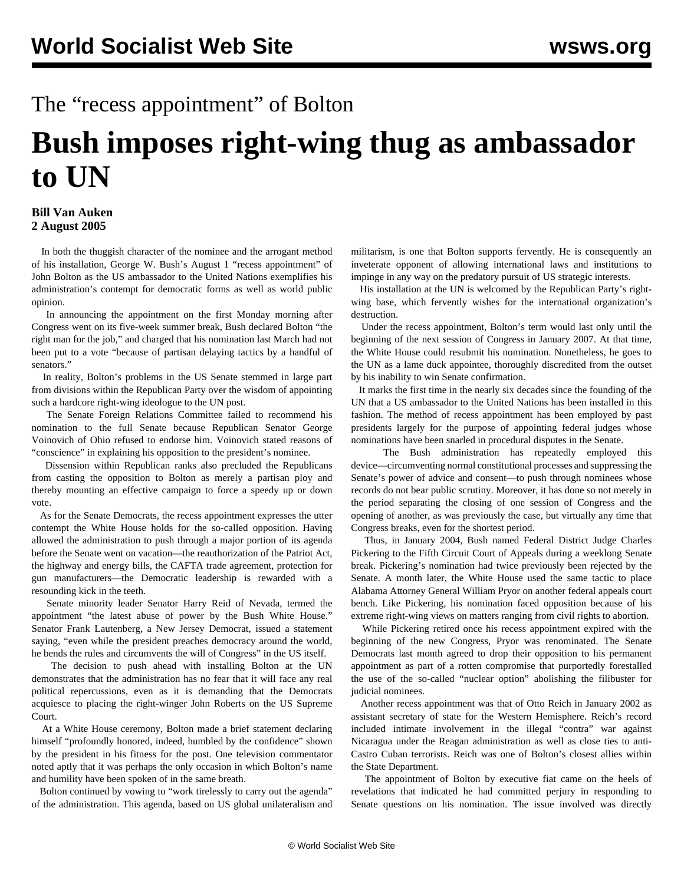## The "recess appointment" of Bolton

## **Bush imposes right-wing thug as ambassador to UN**

## **Bill Van Auken 2 August 2005**

 In both the thuggish character of the nominee and the arrogant method of his installation, George W. Bush's August 1 "recess appointment" of John Bolton as the US ambassador to the United Nations exemplifies his administration's contempt for democratic forms as well as world public opinion.

 In announcing the appointment on the first Monday morning after Congress went on its five-week summer break, Bush declared Bolton "the right man for the job," and charged that his nomination last March had not been put to a vote "because of partisan delaying tactics by a handful of senators."

 In reality, Bolton's problems in the US Senate stemmed in large part from divisions within the Republican Party over the wisdom of appointing such a hardcore right-wing ideologue to the UN post.

 The Senate Foreign Relations Committee failed to recommend his nomination to the full Senate because Republican Senator George Voinovich of Ohio refused to endorse him. Voinovich stated reasons of "conscience" in explaining his opposition to the president's nominee.

 Dissension within Republican ranks also precluded the Republicans from casting the opposition to Bolton as merely a partisan ploy and thereby mounting an effective campaign to force a speedy up or down vote.

 As for the Senate Democrats, the recess appointment expresses the utter contempt the White House holds for the so-called opposition. Having allowed the administration to push through a major portion of its agenda before the Senate went on vacation—the reauthorization of the Patriot Act, the highway and energy bills, the CAFTA trade agreement, protection for gun manufacturers—the Democratic leadership is rewarded with a resounding kick in the teeth.

 Senate minority leader Senator Harry Reid of Nevada, termed the appointment "the latest abuse of power by the Bush White House." Senator Frank Lautenberg, a New Jersey Democrat, issued a statement saying, "even while the president preaches democracy around the world, he bends the rules and circumvents the will of Congress" in the US itself.

 The decision to push ahead with installing Bolton at the UN demonstrates that the administration has no fear that it will face any real political repercussions, even as it is demanding that the Democrats acquiesce to placing the right-winger John Roberts on the US Supreme Court.

 At a White House ceremony, Bolton made a brief statement declaring himself "profoundly honored, indeed, humbled by the confidence" shown by the president in his fitness for the post. One television commentator noted aptly that it was perhaps the only occasion in which Bolton's name and humility have been spoken of in the same breath.

 Bolton continued by vowing to "work tirelessly to carry out the agenda" of the administration. This agenda, based on US global unilateralism and militarism, is one that Bolton supports fervently. He is consequently an inveterate opponent of allowing international laws and institutions to impinge in any way on the predatory pursuit of US strategic interests.

 His installation at the UN is welcomed by the Republican Party's rightwing base, which fervently wishes for the international organization's destruction.

 Under the recess appointment, Bolton's term would last only until the beginning of the next session of Congress in January 2007. At that time, the White House could resubmit his nomination. Nonetheless, he goes to the UN as a lame duck appointee, thoroughly discredited from the outset by his inability to win Senate confirmation.

 It marks the first time in the nearly six decades since the founding of the UN that a US ambassador to the United Nations has been installed in this fashion. The method of recess appointment has been employed by past presidents largely for the purpose of appointing federal judges whose nominations have been snarled in procedural disputes in the Senate.

 The Bush administration has repeatedly employed this device—circumventing normal constitutional processes and suppressing the Senate's power of advice and consent—to push through nominees whose records do not bear public scrutiny. Moreover, it has done so not merely in the period separating the closing of one session of Congress and the opening of another, as was previously the case, but virtually any time that Congress breaks, even for the shortest period.

 Thus, in January 2004, Bush named Federal District Judge Charles Pickering to the Fifth Circuit Court of Appeals during a weeklong Senate break. Pickering's nomination had twice previously been rejected by the Senate. A month later, the White House used the same tactic to place Alabama Attorney General William Pryor on another federal appeals court bench. Like Pickering, his nomination faced opposition because of his extreme right-wing views on matters ranging from civil rights to abortion.

 While Pickering retired once his recess appointment expired with the beginning of the new Congress, Pryor was renominated. The Senate Democrats last month agreed to drop their opposition to his permanent appointment as part of a rotten compromise that purportedly forestalled the use of the so-called "nuclear option" abolishing the filibuster for judicial nominees.

 Another recess appointment was that of Otto Reich in January 2002 as assistant secretary of state for the Western Hemisphere. Reich's record included intimate involvement in the illegal "contra" war against Nicaragua under the Reagan administration as well as close ties to anti-Castro Cuban terrorists. Reich was one of Bolton's closest allies within the State Department.

 The appointment of Bolton by executive fiat came on the heels of revelations that indicated he had committed perjury in responding to Senate questions on his nomination. The issue involved was directly